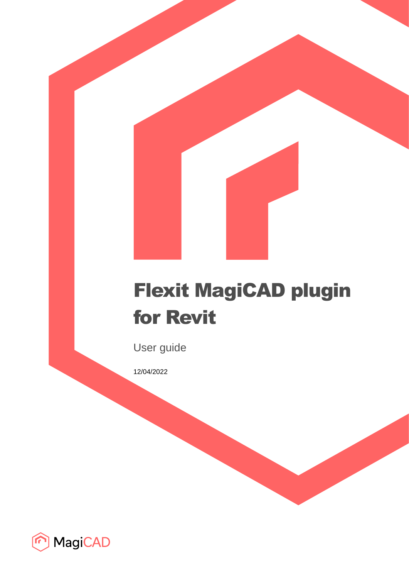# Flexit MagiCAD plugin for Revit

User guide

12/04/2022

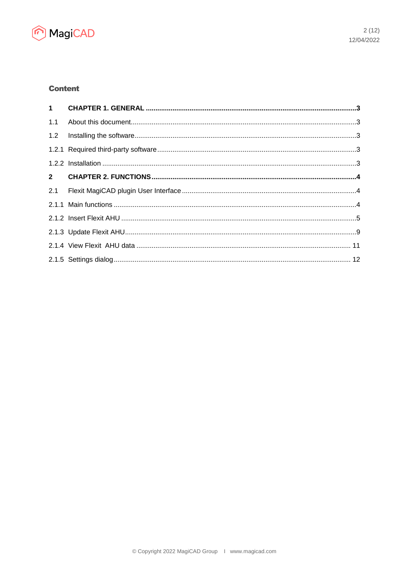

# **Content**

| 1.1 |  |
|-----|--|
|     |  |
|     |  |
|     |  |
|     |  |
| 2.1 |  |
|     |  |
|     |  |
|     |  |
|     |  |
|     |  |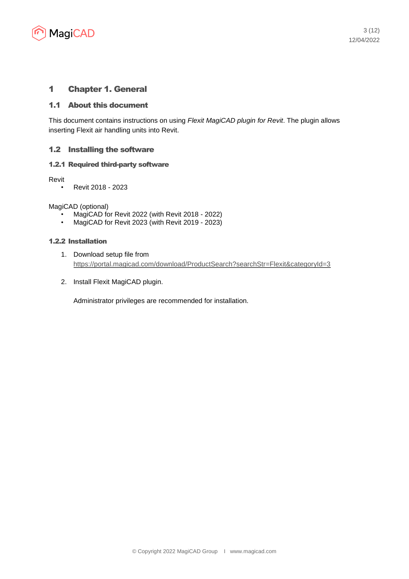

# 1 Chapter 1. General

## 1.1 About this document

This document contains instructions on using *Flexit MagiCAD plugin for Revit*. The plugin allows inserting Flexit air handling units into Revit.

# 1.2 Installing the software

### 1.2.1 Required third-party software

Revit

• Revit 2018 - 2023

MagiCAD (optional)

- MagiCAD for Revit 2022 (with Revit 2018 2022)
- MagiCAD for Revit 2023 (with Revit 2019 2023)

#### 1.2.2 Installation

- 1. Download setup file from <https://portal.magicad.com/download/ProductSearch?searchStr=Flexit&categoryId=3>
- 2. Install Flexit MagiCAD plugin.

Administrator privileges are recommended for installation.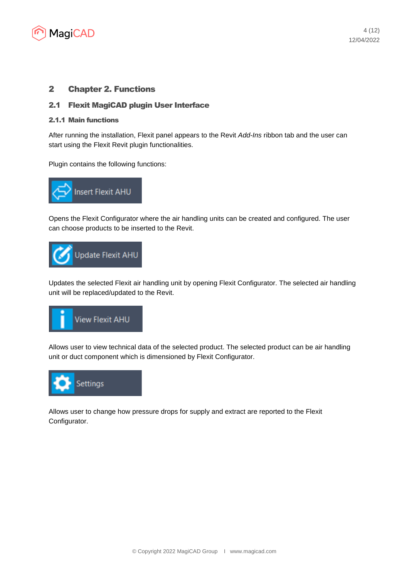

# 2 Chapter 2. Functions

# 2.1 Flexit MagiCAD plugin User Interface

#### 2.1.1 Main functions

After running the installation, Flexit panel appears to the Revit *Add-Ins* ribbon tab and the user can start using the Flexit Revit plugin functionalities.

Plugin contains the following functions:



Opens the Flexit Configurator where the air handling units can be created and configured. The user can choose products to be inserted to the Revit.



Updates the selected Flexit air handling unit by opening Flexit Configurator. The selected air handling unit will be replaced/updated to the Revit.



Allows user to view technical data of the selected product. The selected product can be air handling unit or duct component which is dimensioned by Flexit Configurator.



Allows user to change how pressure drops for supply and extract are reported to the Flexit Configurator.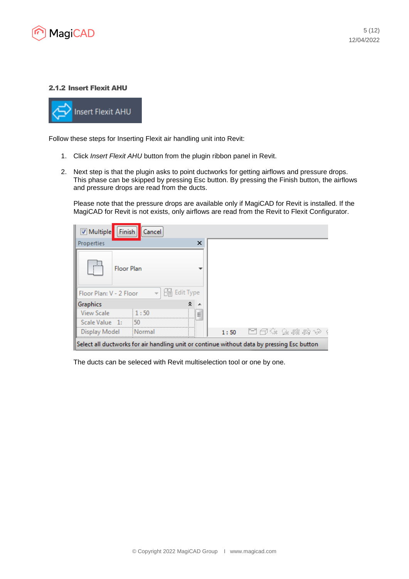

## 2.1.2 Insert Flexit AHU



Follow these steps for Inserting Flexit air handling unit into Revit:

- 1. Click *Insert Flexit AHU* button from the plugin ribbon panel in Revit.
- 2. Next step is that the plugin asks to point ductworks for getting airflows and pressure drops. This phase can be skipped by pressing Esc button. By pressing the Finish button, the airflows and pressure drops are read from the ducts.

Please note that the pressure drops are available only if MagiCAD for Revit is installed. If the MagiCAD for Revit is not exists, only airflows are read from the Revit to Flexit Configurator.

| <b>Finish</b><br>Multiple<br>Cancel                                                        |                    |
|--------------------------------------------------------------------------------------------|--------------------|
| ×<br>Properties                                                                            |                    |
| <b>Floor Plan</b>                                                                          |                    |
| bo Edit Type<br>Floor Plan: V - 2 Floor                                                    |                    |
| ⋩<br>Graphics                                                                              |                    |
| <b>View Scale</b><br>: 1:50<br>$\overline{a}$<br>$\overline{\phantom{a}}$                  |                    |
| Scale Value 1:<br>$-50$                                                                    |                    |
| Display Model<br>Normal                                                                    | - 国田様 家藤麻ゆ<br>1:50 |
| Select all ductworks for air handling unit or continue without data by pressing Esc button |                    |

The ducts can be seleced with Revit multiselection tool or one by one.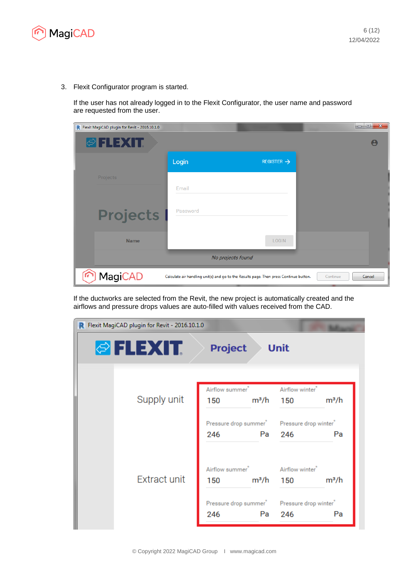

3. Flexit Configurator program is started.

If the user has not already logged in to the Flexit Configurator, the user name and password are requested from the user.

| R Flexit MagiCAD plugin for Revit - 2016.10.1.0 |          |                                                                                        | $\mathbf{x}$<br>$\Box$ e |
|-------------------------------------------------|----------|----------------------------------------------------------------------------------------|--------------------------|
| <b>OFLEXIT</b>                                  |          |                                                                                        |                          |
|                                                 | Login    | REGISTER $\rightarrow$                                                                 |                          |
| Projects                                        | Email    |                                                                                        |                          |
| <b>Projects</b>                                 | Password |                                                                                        |                          |
| <b>Name</b>                                     |          | <b>LOGIN</b>                                                                           |                          |
|                                                 |          | No projects found                                                                      |                          |
| <b>MagiCAD</b>                                  |          | Calculate air handling unit(s) and go to the Results page. Then press Continue button. | Continue<br>Cancel       |

If the ductworks are selected from the Revit, the new project is automatically created and the airflows and pressure drops values are auto-filled with values received from the CAD.

| Flexit MagiCAD plugin for Revit - 2016.10.1.0<br>R |                                    |                                                                           |                                    |         |
|----------------------------------------------------|------------------------------------|---------------------------------------------------------------------------|------------------------------------|---------|
| <b>PELEXTE</b>                                     | <b>Project</b>                     |                                                                           | <b>Unit</b>                        |         |
| Supply unit                                        | Airflow summer <sup>*</sup><br>150 | m <sup>3</sup> /h                                                         | Airflow winter <sup>®</sup><br>150 | $m^3/h$ |
|                                                    | 246                                | Pressure drop summer <sup>*</sup> Pressure drop winter <sup>*</sup><br>Pa | 246                                | Pa      |
| <b>Extract unit</b>                                | Airflow summer <sup>*</sup><br>150 | m <sup>3</sup> /h                                                         | Airflow winter <sup>*</sup><br>150 | $m^3/h$ |
|                                                    | 246                                | Pressure drop summer <sup>*</sup> Pressure drop winter <sup>*</sup><br>Pa | 246                                | Pa      |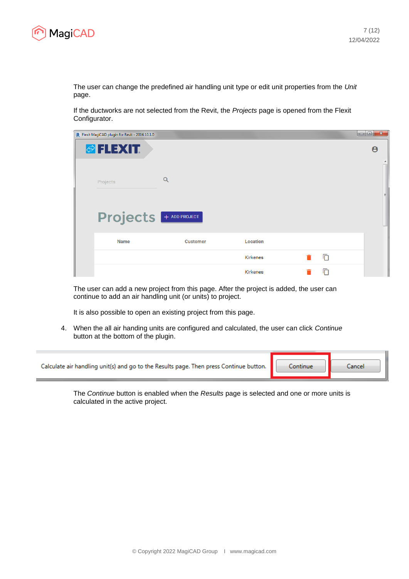

The user can change the predefined air handling unit type or edit unit properties from the *Unit* page.

If the ductworks are not selected from the Revit, the *Projects* page is opened from the Flexit Configurator.

| <b>R</b> Flexit MagiCAD plugin for Revit - 2016.10.1.0 |                 |                 |   | $\mathbf{x}$<br>$ - 0 $ |
|--------------------------------------------------------|-----------------|-----------------|---|-------------------------|
| <b><i>©</i> FLEXIT.</b>                                |                 |                 |   | $\boldsymbol{\Theta}$   |
| Projects                                               | Q               |                 |   | 目                       |
| <b>Projects</b> + ADD PROJECT                          |                 |                 |   |                         |
| <b>Name</b>                                            | <b>Customer</b> | Location        |   |                         |
|                                                        |                 | <b>Kirkenes</b> | 盾 |                         |
|                                                        |                 | <b>Kirkenes</b> | 冋 |                         |

The user can add a new project from this page. After the project is added, the user can continue to add an air handling unit (or units) to project.

It is also possible to open an existing project from this page.

4. When the all air handing units are configured and calculated, the user can click *Continue* button at the bottom of the plugin.

| Calculate air handling unit(s) and go to the Results page. Then press Continue button. | Continue: | Cancel |
|----------------------------------------------------------------------------------------|-----------|--------|
|                                                                                        |           |        |

The *Continue* button is enabled when the *Results* page is selected and one or more units is calculated in the active project.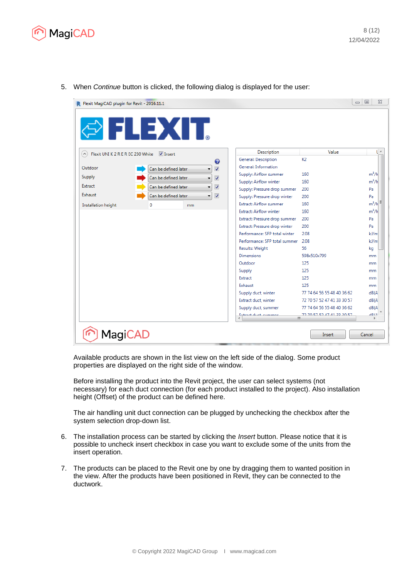



5. When *Continue* button is clicked, the following dialog is displayed for the user:

Available products are shown in the list view on the left side of the dialog. Some product properties are displayed on the right side of the window.

Before installing the product into the Revit project, the user can select systems (not necessary) for each duct connection (for each product installed to the project). Also installation height (Offset) of the product can be defined here.

The air handling unit duct connection can be plugged by unchecking the checkbox after the system selection drop-down list.

- 6. The installation process can be started by clicking the *Insert* button. Please notice that it is possible to uncheck insert checkbox in case you want to exclude some of the units from the insert operation.
- 7. The products can be placed to the Revit one by one by dragging them to wanted position in the view. After the products have been positioned in Revit, they can be connected to the ductwork.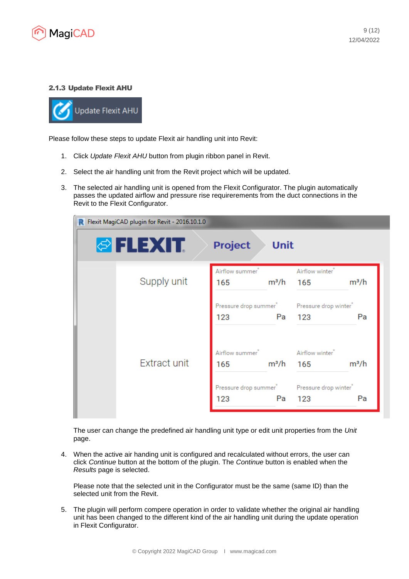

## 2.1.3 Update Flexit AHU



Please follow these steps to update Flexit air handling unit into Revit:

- 1. Click *Update Flexit AHU* button from plugin ribbon panel in Revit.
- 2. Select the air handling unit from the Revit project which will be updated.
- 3. The selected air handling unit is opened from the Flexit Configurator. The plugin automatically passes the updated airflow and pressure rise requirerements from the duct connections in the Revit to the Flexit Configurator.



The user can change the predefined air handling unit type or edit unit properties from the *Unit* page.

4. When the active air handing unit is configured and recalculated without errors, the user can click *Continue* button at the bottom of the plugin. The *Continue* button is enabled when the *Results* page is selected.

Please note that the selected unit in the Configurator must be the same (same ID) than the selected unit from the Revit.

5. The plugin will perform compere operation in order to validate whether the original air handling unit has been changed to the different kind of the air handling unit during the update operation in Flexit Configurator.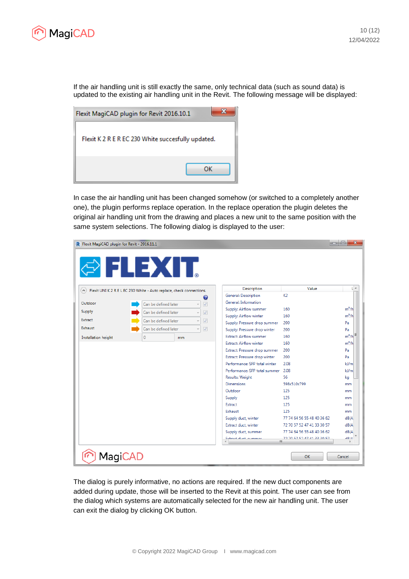

If the air handling unit is still exactly the same, only technical data (such as sound data) is updated to the existing air handling unit in the Revit. The following message will be displayed:



In case the air handling unit has been changed somehow (or switched to a completely another one), the plugin performs replace operation. In the replace operation the plugin deletes the original air handling unit from the drawing and places a new unit to the same position with the same system selections. The following dialog is displayed to the user:

| $\mathbf{x}$<br><b>e</b><br><b>IDE</b><br><b>R</b> Flexit MagiCAD plugin for Revit - 2016.11.1 |                                                                      |                                |                                         |             |  |  |  |
|------------------------------------------------------------------------------------------------|----------------------------------------------------------------------|--------------------------------|-----------------------------------------|-------------|--|--|--|
| ◎□□→△□□                                                                                        |                                                                      |                                |                                         |             |  |  |  |
| $\left( \widehat{ } \right)$                                                                   | Flexit UNI K 2 R E L EC 230 White - Auto replace, check connections. | <b>Description</b>             | Value                                   | UA          |  |  |  |
|                                                                                                | ❼                                                                    | General: Description           | K2                                      |             |  |  |  |
| Outdoor                                                                                        | Can be defined later<br>$\overline{v}$                               | General: Information           |                                         |             |  |  |  |
| Supply                                                                                         | Can be defined later<br>$\overline{J}$                               | Supply: Airflow summer         | 160                                     | $m^3/h$     |  |  |  |
|                                                                                                | v                                                                    | Supply: Airflow winter         | 160                                     | $m^3/h$     |  |  |  |
| Extract                                                                                        | Can be defined later<br>$\overline{J}$                               | Supply: Pressure drop summer   | 200                                     | Pa          |  |  |  |
| Exhaust                                                                                        | Can be defined later<br>$\sqrt{}$                                    | Supply: Pressure drop winter   | 200                                     | Pa          |  |  |  |
| Installation height                                                                            | $\mathbf{0}$<br>m <sub>m</sub>                                       | <b>Extract: Airflow summer</b> | 160                                     | $m^3/h$     |  |  |  |
|                                                                                                |                                                                      | <b>Extract: Airflow winter</b> | 160                                     | $m^3/h$     |  |  |  |
|                                                                                                |                                                                      | Extract: Pressure drop summer  | 200                                     | Pa          |  |  |  |
|                                                                                                |                                                                      | Extract: Pressure drop winter  | 200                                     | Pa          |  |  |  |
|                                                                                                |                                                                      | Performance: SFP total winter  | 2.08                                    | $k$ /m      |  |  |  |
|                                                                                                |                                                                      | Performance: SFP total summer  | 2.08                                    | $k$ /m      |  |  |  |
|                                                                                                |                                                                      | <b>Results: Weight</b>         | 56                                      | kg          |  |  |  |
|                                                                                                |                                                                      | <b>Dimensions</b>              | 598x510x799                             | mm          |  |  |  |
|                                                                                                |                                                                      | Outdoor                        | 125                                     | mm          |  |  |  |
|                                                                                                |                                                                      | Supply                         | 125                                     | mm          |  |  |  |
|                                                                                                |                                                                      | Extract                        | 125                                     | mm          |  |  |  |
|                                                                                                |                                                                      | Exhaust                        | 125                                     | mm          |  |  |  |
|                                                                                                |                                                                      | Supply duct, winter            | 77 74 64 56 55 48 40 36 62              | dB(A)       |  |  |  |
|                                                                                                |                                                                      | Extract duct, winter           | 72 70 57 52 47 41 33 30 57              | dB(A)       |  |  |  |
|                                                                                                |                                                                      | Supply duct, summer            | 77 74 64 56 55 48 40 36 62              | dB(A)       |  |  |  |
|                                                                                                |                                                                      | Eutenet duch economic<br>é     | <b>72 00 27 27 47 41 22 20 27</b><br>ш. | <b>ADIA</b> |  |  |  |
|                                                                                                |                                                                      |                                |                                         |             |  |  |  |
| <b>MagiCAD</b>                                                                                 |                                                                      |                                | OK                                      | Cancel      |  |  |  |

The dialog is purely informative, no actions are required. If the new duct components are added during update, those will be inserted to the Revit at this point. The user can see from the dialog which systems are automatically selected for the new air handling unit. The user can exit the dialog by clicking OK button.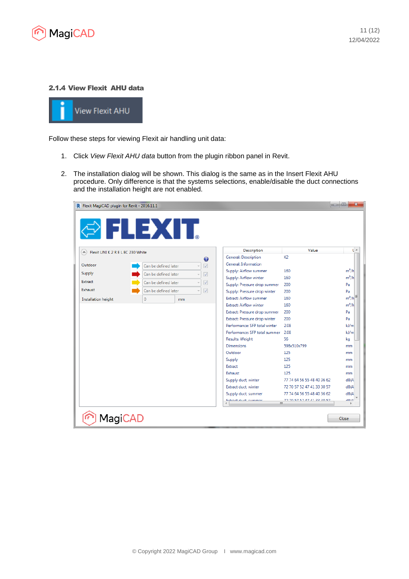

## 2.1.4 View Flexit AHU data



Follow these steps for viewing Flexit air handling unit data:

- 1. Click *View Flexit AHU data* button from the plugin ribbon panel in Revit.
- 2. The installation dialog will be shown. This dialog is the same as in the Insert Flexit AHU procedure. Only difference is that the systems selections, enable/disable the duct connections and the installation height are not enabled.

| R Flexit MagiCAD plugin for Revit - 2016.11.1<br><b>OTIEXIT</b> |                      |                          |                                |                                            | $\mathbf{x}$<br>lo el |
|-----------------------------------------------------------------|----------------------|--------------------------|--------------------------------|--------------------------------------------|-----------------------|
| Flexit UNI K 2 R E L EC 230 White<br>$(\wedge)$                 |                      |                          | Description                    | Value                                      | U A                   |
|                                                                 |                      | ❼                        | General: Description           | K <sub>2</sub>                             |                       |
| Outdoor                                                         | Can be defined later | $\overline{\mathcal{A}}$ | General: Information           |                                            |                       |
| Supply                                                          | Can be defined later | $\overline{\mathcal{A}}$ | Supply: Airflow summer         | 160                                        | $m^3/h$               |
| Extract                                                         |                      |                          | Supply: Airflow winter         | 160                                        | $m^3/h$               |
|                                                                 | Can be defined later | $\sqrt{2}$               | Supply: Pressure drop summer   | 200                                        | Pa                    |
| <b>Exhaust</b>                                                  | Can be defined later | $\overline{v}$           | Supply: Pressure drop winter   | 200                                        | Pa                    |
| Installation height                                             | 0                    | mm                       | <b>Extract: Airflow summer</b> | 160                                        | $m^3/h$               |
|                                                                 |                      |                          | <b>Extract: Airflow winter</b> | 160                                        | $m^3/h$               |
|                                                                 |                      |                          | Extract: Pressure drop summer  | 200                                        | Pa                    |
|                                                                 |                      |                          | Extract: Pressure drop winter  | 200                                        | Pa                    |
|                                                                 |                      |                          | Performance: SFP total winter  | 2.08                                       | kJ/m                  |
|                                                                 |                      |                          | Performance: SFP total summer  | 2.08                                       | kJ/m                  |
|                                                                 |                      |                          | <b>Results: Weight</b>         | 56                                         | kq                    |
|                                                                 |                      |                          | <b>Dimensions</b>              | 598x510x799                                | mm                    |
|                                                                 |                      |                          | Outdoor                        | 125                                        | mm                    |
|                                                                 |                      |                          | Supply                         | 125                                        | mm                    |
|                                                                 |                      |                          | Extract                        | 125                                        | mm                    |
|                                                                 |                      |                          | Exhaust                        | 125                                        | mm                    |
|                                                                 |                      |                          | Supply duct, winter            | 77 74 64 56 55 48 40 36 62                 | dB(A)                 |
|                                                                 |                      |                          | Extract duct, winter           | 72 70 57 52 47 41 33 30 57                 | dB(A)                 |
|                                                                 |                      |                          | Supply duct, summer            | 77 74 64 56 55 48 40 36 62                 | dB(A)                 |
|                                                                 |                      |                          | Extenct doot common            | T2 0C CC 14 70 77 F3 0F CT<br>$\mathbf{m}$ | <b>ADIA</b>           |
| <b>MagiCAD</b>                                                  |                      |                          |                                |                                            | Close                 |